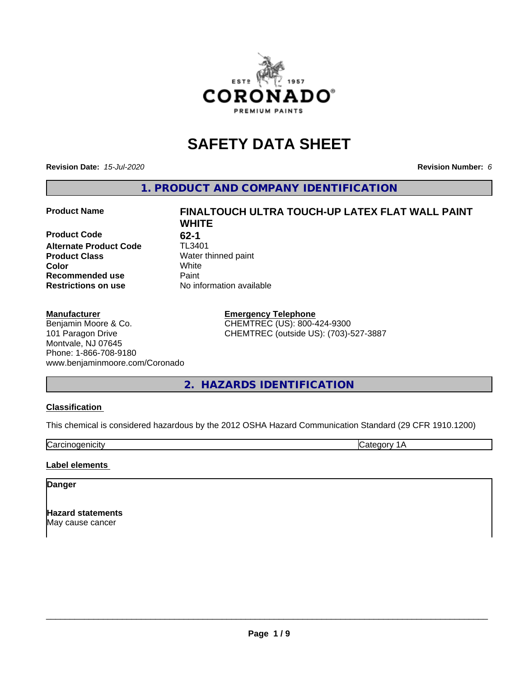

# **SAFETY DATA SHEET**

**Revision Date:** *15-Jul-2020* **Revision Number:** *6*

**1. PRODUCT AND COMPANY IDENTIFICATION**

## **Product Name FINALTOUCH ULTRA TOUCH-UP LATEX FLAT WALL PAINT**

**Product Code** 62-1<br> **Alternate Product Code** TL3401 **Alternate Product Code Product Class** Water thinned paint<br> **Color** White **Recommended use Caint Restrictions on use** No information available

## **Manufacturer**

Benjamin Moore & Co. 101 Paragon Drive Montvale, NJ 07645 Phone: 1-866-708-9180 www.benjaminmoore.com/Coronado

**WHITE Color** White

> **Emergency Telephone** CHEMTREC (US): 800-424-9300 CHEMTREC (outside US): (703)-527-3887

**2. HAZARDS IDENTIFICATION**

## **Classification**

This chemical is considered hazardous by the 2012 OSHA Hazard Communication Standard (29 CFR 1910.1200)

Carcinogenicity **Category 1A** 

## **Label elements**

## **Danger**

**Hazard statements** May cause cancer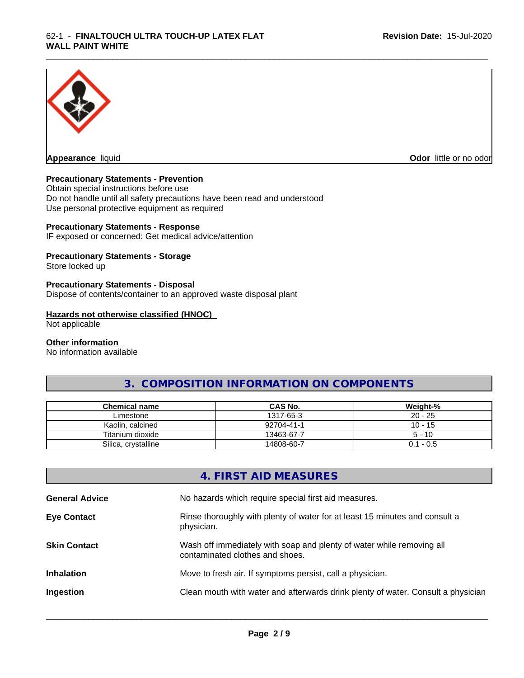

**Appearance** liquid

**Odor** little or no odor

## **Precautionary Statements - Prevention**

Obtain special instructions before use Do not handle until all safety precautions have been read and understood Use personal protective equipment as required

## **Precautionary Statements - Response**

IF exposed or concerned: Get medical advice/attention

## **Precautionary Statements - Storage**

Store locked up

## **Precautionary Statements - Disposal**

Dispose of contents/container to an approved waste disposal plant

## **Hazards not otherwise classified (HNOC)**

Not applicable

#### **Other information**

No information available

# **3. COMPOSITION INFORMATION ON COMPONENTS**

\_\_\_\_\_\_\_\_\_\_\_\_\_\_\_\_\_\_\_\_\_\_\_\_\_\_\_\_\_\_\_\_\_\_\_\_\_\_\_\_\_\_\_\_\_\_\_\_\_\_\_\_\_\_\_\_\_\_\_\_\_\_\_\_\_\_\_\_\_\_\_\_\_\_\_\_\_\_\_\_\_\_\_\_\_\_\_\_\_\_\_\_\_

| Chemical name       | <b>CAS No.</b> | Weight-%  |
|---------------------|----------------|-----------|
| Limestone           | 1317-65-3      | $20 - 25$ |
| Kaolin, calcined    | 92704-41-1     | $10 - 15$ |
| Titanium dioxide    | 13463-67-7     | $5 - 10$  |
| Silica, crystalline | 14808-60-7     | 0.1 - 0.5 |

# **4. FIRST AID MEASURES**

| <b>General Advice</b> | No hazards which require special first aid measures.                                                     |
|-----------------------|----------------------------------------------------------------------------------------------------------|
| <b>Eye Contact</b>    | Rinse thoroughly with plenty of water for at least 15 minutes and consult a<br>physician.                |
| <b>Skin Contact</b>   | Wash off immediately with soap and plenty of water while removing all<br>contaminated clothes and shoes. |
| <b>Inhalation</b>     | Move to fresh air. If symptoms persist, call a physician.                                                |
| Ingestion             | Clean mouth with water and afterwards drink plenty of water. Consult a physician                         |
|                       |                                                                                                          |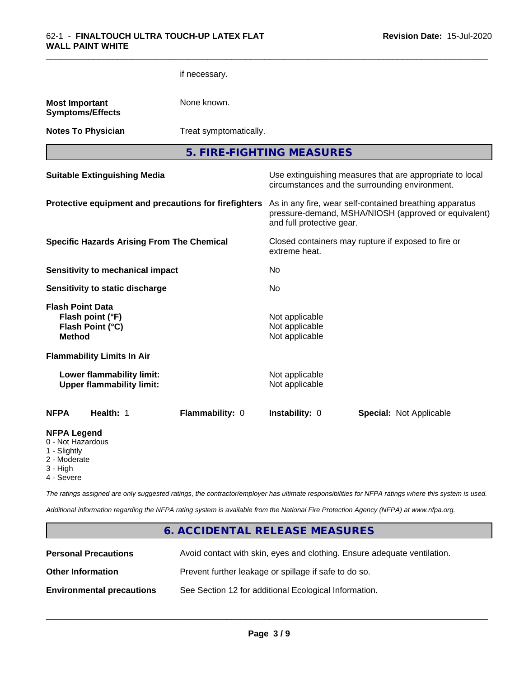|                                                                                     |                                                               | if necessary.                                         |                                                    |                                                                                                                 |
|-------------------------------------------------------------------------------------|---------------------------------------------------------------|-------------------------------------------------------|----------------------------------------------------|-----------------------------------------------------------------------------------------------------------------|
| <b>Most Important</b>                                                               | <b>Symptoms/Effects</b>                                       | None known.                                           |                                                    |                                                                                                                 |
|                                                                                     | <b>Notes To Physician</b>                                     | Treat symptomatically.                                |                                                    |                                                                                                                 |
|                                                                                     |                                                               |                                                       | 5. FIRE-FIGHTING MEASURES                          |                                                                                                                 |
|                                                                                     | <b>Suitable Extinguishing Media</b>                           |                                                       |                                                    | Use extinguishing measures that are appropriate to local<br>circumstances and the surrounding environment.      |
|                                                                                     |                                                               | Protective equipment and precautions for firefighters | and full protective gear.                          | As in any fire, wear self-contained breathing apparatus<br>pressure-demand, MSHA/NIOSH (approved or equivalent) |
|                                                                                     | <b>Specific Hazards Arising From The Chemical</b>             |                                                       | extreme heat.                                      | Closed containers may rupture if exposed to fire or                                                             |
|                                                                                     | <b>Sensitivity to mechanical impact</b>                       |                                                       | No                                                 |                                                                                                                 |
|                                                                                     | <b>Sensitivity to static discharge</b>                        |                                                       | No.                                                |                                                                                                                 |
| <b>Flash Point Data</b><br><b>Method</b>                                            | Flash point (°F)<br>Flash Point (°C)                          |                                                       | Not applicable<br>Not applicable<br>Not applicable |                                                                                                                 |
|                                                                                     | <b>Flammability Limits In Air</b>                             |                                                       |                                                    |                                                                                                                 |
|                                                                                     | Lower flammability limit:<br><b>Upper flammability limit:</b> |                                                       | Not applicable<br>Not applicable                   |                                                                                                                 |
| <b>NFPA</b>                                                                         | Health: 1                                                     | Flammability: 0                                       | Instability: 0                                     | <b>Special: Not Applicable</b>                                                                                  |
| <b>NFPA Legend</b><br>0 - Not Hazardous<br>1 - Slightly<br>2 - Moderate<br>3 - High |                                                               |                                                       |                                                    |                                                                                                                 |

\_\_\_\_\_\_\_\_\_\_\_\_\_\_\_\_\_\_\_\_\_\_\_\_\_\_\_\_\_\_\_\_\_\_\_\_\_\_\_\_\_\_\_\_\_\_\_\_\_\_\_\_\_\_\_\_\_\_\_\_\_\_\_\_\_\_\_\_\_\_\_\_\_\_\_\_\_\_\_\_\_\_\_\_\_\_\_\_\_\_\_\_\_

4 - Severe

*The ratings assigned are only suggested ratings, the contractor/employer has ultimate responsibilities for NFPA ratings where this system is used.*

*Additional information regarding the NFPA rating system is available from the National Fire Protection Agency (NFPA) at www.nfpa.org.*

# **6. ACCIDENTAL RELEASE MEASURES**

| <b>Personal Precautions</b>      | Avoid contact with skin, eyes and clothing. Ensure adequate ventilation. |
|----------------------------------|--------------------------------------------------------------------------|
| <b>Other Information</b>         | Prevent further leakage or spillage if safe to do so.                    |
| <b>Environmental precautions</b> | See Section 12 for additional Ecological Information.                    |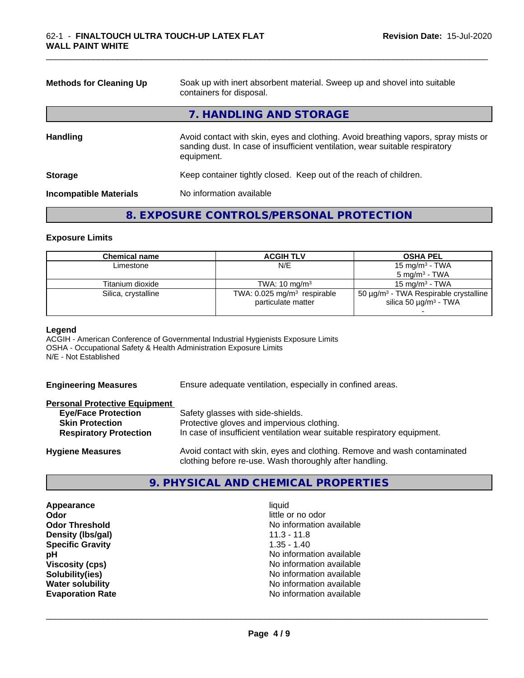| <b>Methods for Cleaning Up</b> | Soak up with inert absorbent material. Sweep up and shovel into suitable<br>containers for disposal.                                                                             |
|--------------------------------|----------------------------------------------------------------------------------------------------------------------------------------------------------------------------------|
|                                | 7. HANDLING AND STORAGE                                                                                                                                                          |
| <b>Handling</b>                | Avoid contact with skin, eyes and clothing. Avoid breathing vapors, spray mists or<br>sanding dust. In case of insufficient ventilation, wear suitable respiratory<br>equipment. |
| <b>Storage</b>                 | Keep container tightly closed. Keep out of the reach of children.                                                                                                                |
| <b>Incompatible Materials</b>  | No information available                                                                                                                                                         |

\_\_\_\_\_\_\_\_\_\_\_\_\_\_\_\_\_\_\_\_\_\_\_\_\_\_\_\_\_\_\_\_\_\_\_\_\_\_\_\_\_\_\_\_\_\_\_\_\_\_\_\_\_\_\_\_\_\_\_\_\_\_\_\_\_\_\_\_\_\_\_\_\_\_\_\_\_\_\_\_\_\_\_\_\_\_\_\_\_\_\_\_\_

## **8. EXPOSURE CONTROLS/PERSONAL PROTECTION**

#### **Exposure Limits**

| Chemical name       | <b>ACGIH TLV</b>                                                | <b>OSHA PEL</b>                                                                                  |
|---------------------|-----------------------------------------------------------------|--------------------------------------------------------------------------------------------------|
| Limestone           | N/E                                                             | 15 mg/m $3$ - TWA                                                                                |
|                     |                                                                 | $5 \text{ mg/m}^3$ - TWA                                                                         |
| Titanium dioxide    | TWA: $10 \text{ mg/m}^3$                                        | 15 mg/m $3$ - TWA                                                                                |
| Silica, crystalline | TWA: $0.025$ mg/m <sup>3</sup> respirable<br>particulate matter | 50 $\mu$ g/m <sup>3</sup> - TWA Respirable crystalline<br>silica 50 $\mu$ g/m <sup>3</sup> - TWA |

#### **Legend**

ACGIH - American Conference of Governmental Industrial Hygienists Exposure Limits OSHA - Occupational Safety & Health Administration Exposure Limits N/E - Not Established

**Engineering Measures** Ensure adequate ventilation, especially in confined areas.

## **Personal Protective Equipment**

| <b>Eye/Face Protection</b>    | Safety glasses with side-shields.                                        |
|-------------------------------|--------------------------------------------------------------------------|
| <b>Skin Protection</b>        | Protective gloves and impervious clothing.                               |
| <b>Respiratory Protection</b> | In case of insufficient ventilation wear suitable respiratory equipment. |
| <b>Hygiene Measures</b>       | Avoid contact with skin, eyes and clothing. Remove and wash contaminated |

## **9. PHYSICAL AND CHEMICAL PROPERTIES**

clothing before re-use. Wash thoroughly after handling.

**Appearance** liquid **Odor** little or no odor **Density (lbs/gal)** 11.3 - 11.8 **Specific Gravity** 1.35 - 1.40

**Odor Threshold** No information available **pH** No information available **Viscosity (cps)** No information available<br> **Solubility (ies)** No information available<br>
No information available **Solubility(ies)**<br> **Solubility**<br> **Water solubility**<br> **Water solubility**<br> **Water solubility No information available Evaporation Rate Evaporation Rate No information available**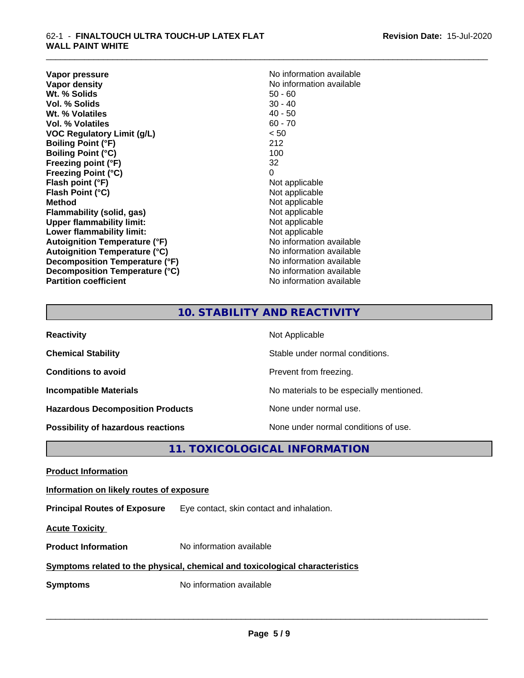**Vapor pressure** No information available<br> **Vapor density**<br> **Vapor density Wt. % Solids** 50 - 60<br> **Vol. % Solids** 50 - 40<br> **Vol. % Solids** 50 - 40 **Vol. % Solids** 30 - 40<br> **Wt. % Volatiles** 30 - 40 **Wt. % Volatiles Vol. % Volatiles** 60 - 70 **VOC Regulatory Limit (g/L)** < 50 **Boiling Point (°F)** 212 **Boiling Point (°C)** 100 **Freezing point (°F)** 32 **Freezing Point (°C)** 0 **Flash point (°F)** Not applicable **Flash Point (°C)**<br> **Method** Not applicable<br> **Method** Not applicable **Flammability** (solid, gas) **Upper flammability limit:**<br> **Lower flammability limit:** Not applicable Not applicable **Lower flammability limit:**<br> **Autoignition Temperature (°F)** Not applicable available **Autoignition Temperature (°F) Autoignition Temperature (°C)**<br> **Decomposition Temperature (°F)** No information available **Decomposition Temperature (°F) Decomposition Temperature (°C)** No information available **Partition coefficient Contract Community No information available** 

**No information available**<br>50 - 60 **Not applicable**<br>Not applicable

\_\_\_\_\_\_\_\_\_\_\_\_\_\_\_\_\_\_\_\_\_\_\_\_\_\_\_\_\_\_\_\_\_\_\_\_\_\_\_\_\_\_\_\_\_\_\_\_\_\_\_\_\_\_\_\_\_\_\_\_\_\_\_\_\_\_\_\_\_\_\_\_\_\_\_\_\_\_\_\_\_\_\_\_\_\_\_\_\_\_\_\_\_

# **10. STABILITY AND REACTIVITY**

| <b>Reactivity</b>                         | Not Applicable                           |
|-------------------------------------------|------------------------------------------|
| <b>Chemical Stability</b>                 | Stable under normal conditions.          |
| <b>Conditions to avoid</b>                | Prevent from freezing.                   |
| <b>Incompatible Materials</b>             | No materials to be especially mentioned. |
| <b>Hazardous Decomposition Products</b>   | None under normal use.                   |
| <b>Possibility of hazardous reactions</b> | None under normal conditions of use.     |

# **11. TOXICOLOGICAL INFORMATION**

**Product Information**

**Information on likely routes of exposure**

**Principal Routes of Exposure** Eye contact, skin contact and inhalation.

**Acute Toxicity** 

**Product Information** No information available

# **Symptoms related to the physical,chemical and toxicological characteristics**

**Symptoms** No information available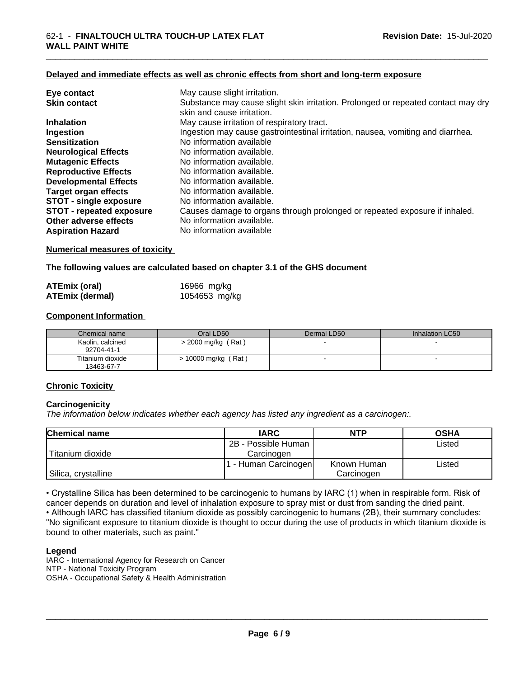#### **Delayed and immediate effects as well as chronic effects from short and long-term exposure**

| Eye contact                     | May cause slight irritation.                                                                                    |
|---------------------------------|-----------------------------------------------------------------------------------------------------------------|
| <b>Skin contact</b>             | Substance may cause slight skin irritation. Prolonged or repeated contact may dry<br>skin and cause irritation. |
| <b>Inhalation</b>               | May cause irritation of respiratory tract.                                                                      |
| Ingestion                       | Ingestion may cause gastrointestinal irritation, nausea, vomiting and diarrhea.                                 |
| <b>Sensitization</b>            | No information available                                                                                        |
| <b>Neurological Effects</b>     | No information available.                                                                                       |
| <b>Mutagenic Effects</b>        | No information available.                                                                                       |
| <b>Reproductive Effects</b>     | No information available.                                                                                       |
| <b>Developmental Effects</b>    | No information available.                                                                                       |
| <b>Target organ effects</b>     | No information available.                                                                                       |
| <b>STOT - single exposure</b>   | No information available.                                                                                       |
| <b>STOT - repeated exposure</b> | Causes damage to organs through prolonged or repeated exposure if inhaled.                                      |
| Other adverse effects           | No information available.                                                                                       |
| <b>Aspiration Hazard</b>        | No information available                                                                                        |

## **Numerical measures of toxicity**

## **The following values are calculated based on chapter 3.1 of the GHS document**

| ATEmix (oral)          | 16966 mg/kg   |
|------------------------|---------------|
| <b>ATEmix (dermal)</b> | 1054653 mg/kg |

## **Component Information**

| Chemical name                  | Oral LD50          | Dermal LD50 | Inhalation LC50 |
|--------------------------------|--------------------|-------------|-----------------|
| Kaolin, calcined<br>92704-41-1 | > 2000 mg/kg (Rat) |             |                 |
| Titanium dioxide<br>13463-67-7 | 10000 mg/kg (Rat)  |             |                 |

## **Chronic Toxicity**

## **Carcinogenicity**

*The information below indicateswhether each agency has listed any ingredient as a carcinogen:.*

| <b>Chemical name</b> | <b>IARC</b>         | <b>NTP</b>  | <b>OSHA</b> |
|----------------------|---------------------|-------------|-------------|
|                      | 2B - Possible Human |             | Listed      |
| Titanium dioxide     | Carcinogen          |             |             |
|                      | - Human Carcinogen  | Known Human | Listed      |
| Silica, crystalline  |                     | Carcinogen  |             |

• Crystalline Silica has been determined to be carcinogenic to humans by IARC (1) when in respirable form. Risk of cancer depends on duration and level of inhalation exposure to spray mist or dust from sanding the dried paint.• Although IARC has classified titanium dioxide as possibly carcinogenic to humans (2B), their summary concludes: "No significant exposure to titanium dioxide is thought to occur during the use of products in which titanium dioxide is bound to other materials, such as paint."

#### **Legend**

IARC - International Agency for Research on Cancer NTP - National Toxicity Program OSHA - Occupational Safety & Health Administration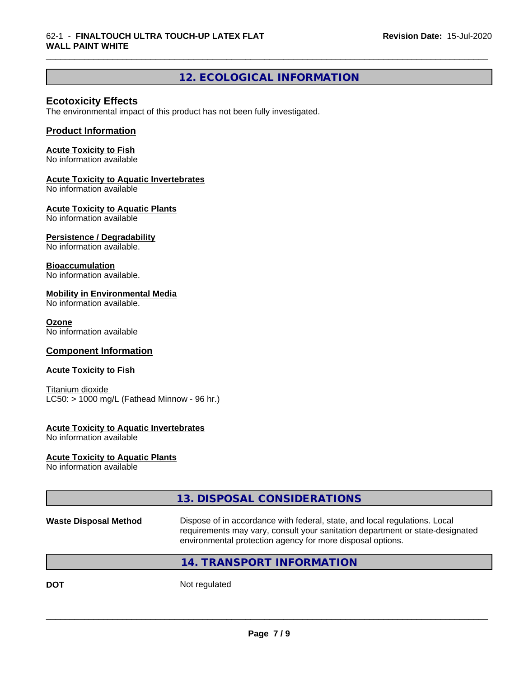### \_\_\_\_\_\_\_\_\_\_\_\_\_\_\_\_\_\_\_\_\_\_\_\_\_\_\_\_\_\_\_\_\_\_\_\_\_\_\_\_\_\_\_\_\_\_\_\_\_\_\_\_\_\_\_\_\_\_\_\_\_\_\_\_\_\_\_\_\_\_\_\_\_\_\_\_\_\_\_\_\_\_\_\_\_\_\_\_\_\_\_\_\_ 62-1 - **FINALTOUCH ULTRA TOUCH-UP LATEX FLAT WALL PAINT WHITE**

# **12. ECOLOGICAL INFORMATION**

## **Ecotoxicity Effects**

The environmental impact of this product has not been fully investigated.

## **Product Information**

## **Acute Toxicity to Fish**

No information available

## **Acute Toxicity to Aquatic Invertebrates**

No information available

## **Acute Toxicity to Aquatic Plants**

No information available

## **Persistence / Degradability**

No information available.

## **Bioaccumulation**

No information available.

## **Mobility in Environmental Media**

No information available.

## **Ozone**

No information available

## **Component Information**

## **Acute Toxicity to Fish**

Titanium dioxide  $LC50:$  > 1000 mg/L (Fathead Minnow - 96 hr.)

## **Acute Toxicity to Aquatic Invertebrates**

No information available

## **Acute Toxicity to Aquatic Plants**

No information available

# **13. DISPOSAL CONSIDERATIONS**

**Waste Disposal Method** Dispose of in accordance with federal, state, and local regulations. Local requirements may vary, consult your sanitation department or state-designated environmental protection agency for more disposal options.

 $\overline{\phantom{a}}$  ,  $\overline{\phantom{a}}$  ,  $\overline{\phantom{a}}$  ,  $\overline{\phantom{a}}$  ,  $\overline{\phantom{a}}$  ,  $\overline{\phantom{a}}$  ,  $\overline{\phantom{a}}$  ,  $\overline{\phantom{a}}$  ,  $\overline{\phantom{a}}$  ,  $\overline{\phantom{a}}$  ,  $\overline{\phantom{a}}$  ,  $\overline{\phantom{a}}$  ,  $\overline{\phantom{a}}$  ,  $\overline{\phantom{a}}$  ,  $\overline{\phantom{a}}$  ,  $\overline{\phantom{a}}$ 

## **14. TRANSPORT INFORMATION**

**DOT** Not regulated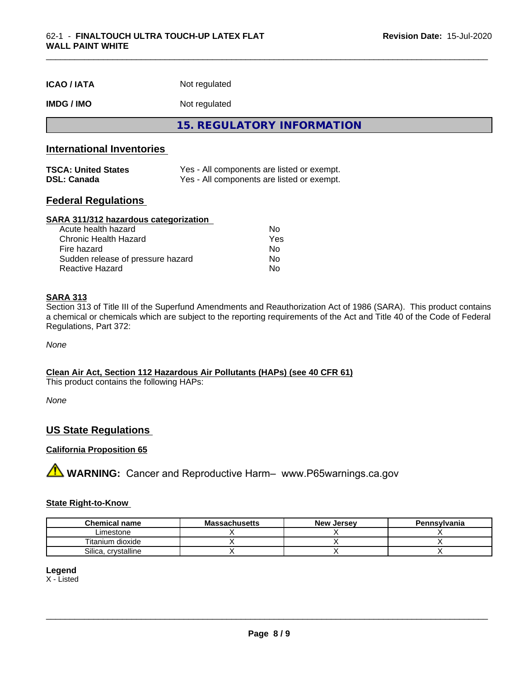| <b>ICAO/IATA</b> | Not regulated |  |
|------------------|---------------|--|
|------------------|---------------|--|

## **IMDG / IMO** Not regulated

**15. REGULATORY INFORMATION**

# **International Inventories**

| <b>TSCA: United States</b> | Yes - All components are listed or exempt. |
|----------------------------|--------------------------------------------|
| <b>DSL: Canada</b>         | Yes - All components are listed or exempt. |

## **Federal Regulations**

#### **SARA 311/312 hazardous categorization**

| Acute health hazard               | N٥  |
|-----------------------------------|-----|
| Chronic Health Hazard             | Yes |
| Fire hazard                       | Nο  |
| Sudden release of pressure hazard | Nο  |
| Reactive Hazard                   | N٥  |

## **SARA 313**

Section 313 of Title III of the Superfund Amendments and Reauthorization Act of 1986 (SARA). This product contains a chemical or chemicals which are subject to the reporting requirements of the Act and Title 40 of the Code of Federal Regulations, Part 372:

*None*

## **Clean Air Act,Section 112 Hazardous Air Pollutants (HAPs) (see 40 CFR 61)**

This product contains the following HAPs:

*None*

## **US State Regulations**

## **California Proposition 65**

**A** WARNING: Cancer and Reproductive Harm– www.P65warnings.ca.gov

## **State Right-to-Know**

| <b>Chemical name</b>         | ıssachusetts<br>uvice: | <b>New</b><br>, Jersev | Pennsylvania |
|------------------------------|------------------------|------------------------|--------------|
| Limestone                    |                        |                        |              |
| $\cdots$<br>Fitanium dioxide |                        |                        |              |
| Silica<br>crystalline        |                        |                        |              |

## **Legend**

X - Listed